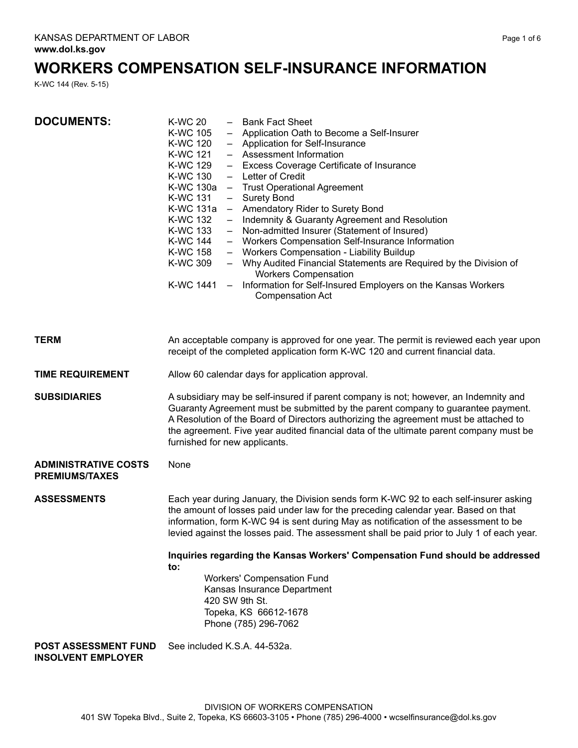# **WORKERS COMPENSATION SELF-INSURANCE INFORMATION**

K-WC 144 (Rev. 5-15)

| <b>DOCUMENTS:</b>                                        | <b>K-WC 20</b><br>- Bank Fact Sheet<br>- Application Oath to Become a Self-Insurer<br><b>K-WC 105</b><br>K-WC 120<br>- Application for Self-Insurance<br>K-WC 121<br>- Assessment Information<br>K-WC 129<br>- Excess Coverage Certificate of Insurance<br>K-WC 130<br>- Letter of Credit<br>K-WC 130a<br>- Trust Operational Agreement<br>K-WC 131<br><b>Surety Bond</b><br>$-$<br>- Amendatory Rider to Surety Bond<br>K-WC 131a<br>K-WC 132<br>Indemnity & Guaranty Agreement and Resolution<br>$\sim$<br>- Non-admitted Insurer (Statement of Insured)<br>K-WC 133<br>K-WC 144<br>- Workers Compensation Self-Insurance Information<br>- Workers Compensation - Liability Buildup<br>K-WC 158<br>K-WC 309<br>- Why Audited Financial Statements are Required by the Division of<br><b>Workers Compensation</b><br>K-WC 1441 –<br>Information for Self-Insured Employers on the Kansas Workers<br><b>Compensation Act</b> |
|----------------------------------------------------------|------------------------------------------------------------------------------------------------------------------------------------------------------------------------------------------------------------------------------------------------------------------------------------------------------------------------------------------------------------------------------------------------------------------------------------------------------------------------------------------------------------------------------------------------------------------------------------------------------------------------------------------------------------------------------------------------------------------------------------------------------------------------------------------------------------------------------------------------------------------------------------------------------------------------------|
| <b>TERM</b>                                              | An acceptable company is approved for one year. The permit is reviewed each year upon<br>receipt of the completed application form K-WC 120 and current financial data.                                                                                                                                                                                                                                                                                                                                                                                                                                                                                                                                                                                                                                                                                                                                                      |
| <b>TIME REQUIREMENT</b>                                  | Allow 60 calendar days for application approval.                                                                                                                                                                                                                                                                                                                                                                                                                                                                                                                                                                                                                                                                                                                                                                                                                                                                             |
| <b>SUBSIDIARIES</b>                                      | A subsidiary may be self-insured if parent company is not; however, an Indemnity and<br>Guaranty Agreement must be submitted by the parent company to guarantee payment.<br>A Resolution of the Board of Directors authorizing the agreement must be attached to<br>the agreement. Five year audited financial data of the ultimate parent company must be<br>furnished for new applicants.                                                                                                                                                                                                                                                                                                                                                                                                                                                                                                                                  |
| <b>ADMINISTRATIVE COSTS</b><br><b>PREMIUMS/TAXES</b>     | None                                                                                                                                                                                                                                                                                                                                                                                                                                                                                                                                                                                                                                                                                                                                                                                                                                                                                                                         |
| <b>ASSESSMENTS</b>                                       | Each year during January, the Division sends form K-WC 92 to each self-insurer asking<br>the amount of losses paid under law for the preceding calendar year. Based on that<br>information, form K-WC 94 is sent during May as notification of the assessment to be<br>levied against the losses paid. The assessment shall be paid prior to July 1 of each year.                                                                                                                                                                                                                                                                                                                                                                                                                                                                                                                                                            |
|                                                          | Inquiries regarding the Kansas Workers' Compensation Fund should be addressed<br>to:                                                                                                                                                                                                                                                                                                                                                                                                                                                                                                                                                                                                                                                                                                                                                                                                                                         |
|                                                          | <b>Workers' Compensation Fund</b><br>Kansas Insurance Department<br>420 SW 9th St.<br>Topeka, KS 66612-1678<br>Phone (785) 296-7062                                                                                                                                                                                                                                                                                                                                                                                                                                                                                                                                                                                                                                                                                                                                                                                          |
| <b>POST ASSESSMENT FUND</b><br><b>INSOLVENT EMPLOYER</b> | See included K.S.A. 44-532a.                                                                                                                                                                                                                                                                                                                                                                                                                                                                                                                                                                                                                                                                                                                                                                                                                                                                                                 |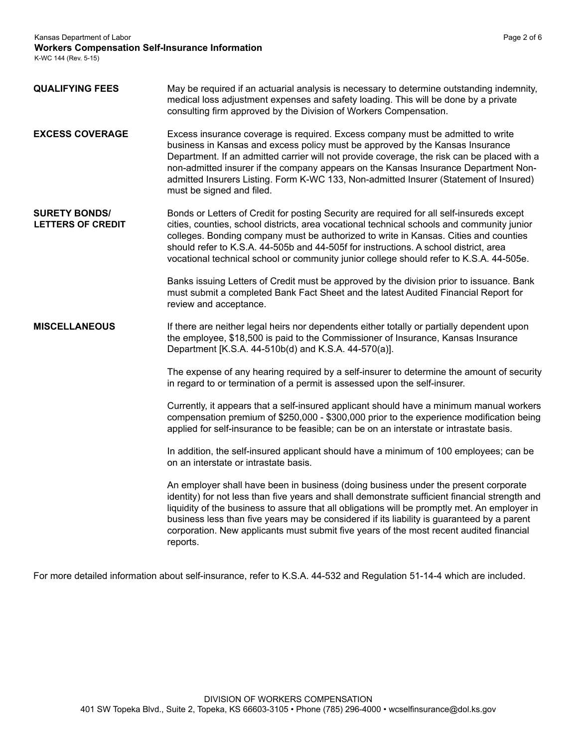Kansas Department of Labor Page 2 of 6

**Workers Compensation Self-Insurance Information**

K-WC 144 (Rev. 5-15)

| <b>QUALIFYING FEES</b>                           | May be required if an actuarial analysis is necessary to determine outstanding indemnity,<br>medical loss adjustment expenses and safety loading. This will be done by a private<br>consulting firm approved by the Division of Workers Compensation.                                                                                                                                                                                                                                       |
|--------------------------------------------------|---------------------------------------------------------------------------------------------------------------------------------------------------------------------------------------------------------------------------------------------------------------------------------------------------------------------------------------------------------------------------------------------------------------------------------------------------------------------------------------------|
| <b>EXCESS COVERAGE</b>                           | Excess insurance coverage is required. Excess company must be admitted to write<br>business in Kansas and excess policy must be approved by the Kansas Insurance<br>Department. If an admitted carrier will not provide coverage, the risk can be placed with a<br>non-admitted insurer if the company appears on the Kansas Insurance Department Non-<br>admitted Insurers Listing. Form K-WC 133, Non-admitted Insurer (Statement of Insured)<br>must be signed and filed.                |
| <b>SURETY BONDS/</b><br><b>LETTERS OF CREDIT</b> | Bonds or Letters of Credit for posting Security are required for all self-insureds except<br>cities, counties, school districts, area vocational technical schools and community junior<br>colleges. Bonding company must be authorized to write in Kansas. Cities and counties<br>should refer to K.S.A. 44-505b and 44-505f for instructions. A school district, area<br>vocational technical school or community junior college should refer to K.S.A. 44-505e.                          |
|                                                  | Banks issuing Letters of Credit must be approved by the division prior to issuance. Bank<br>must submit a completed Bank Fact Sheet and the latest Audited Financial Report for<br>review and acceptance.                                                                                                                                                                                                                                                                                   |
| <b>MISCELLANEOUS</b>                             | If there are neither legal heirs nor dependents either totally or partially dependent upon<br>the employee, \$18,500 is paid to the Commissioner of Insurance, Kansas Insurance<br>Department [K.S.A. 44-510b(d) and K.S.A. 44-570(a)].                                                                                                                                                                                                                                                     |
|                                                  | The expense of any hearing required by a self-insurer to determine the amount of security<br>in regard to or termination of a permit is assessed upon the self-insurer.                                                                                                                                                                                                                                                                                                                     |
|                                                  | Currently, it appears that a self-insured applicant should have a minimum manual workers<br>compensation premium of \$250,000 - \$300,000 prior to the experience modification being<br>applied for self-insurance to be feasible; can be on an interstate or intrastate basis.                                                                                                                                                                                                             |
|                                                  | In addition, the self-insured applicant should have a minimum of 100 employees; can be<br>on an interstate or intrastate basis.                                                                                                                                                                                                                                                                                                                                                             |
|                                                  | An employer shall have been in business (doing business under the present corporate<br>identity) for not less than five years and shall demonstrate sufficient financial strength and<br>liquidity of the business to assure that all obligations will be promptly met. An employer in<br>business less than five years may be considered if its liability is guaranteed by a parent<br>corporation. New applicants must submit five years of the most recent audited financial<br>reports. |

For more detailed information about self-insurance, refer to K.S.A. 44-532 and Regulation 51-14-4 which are included.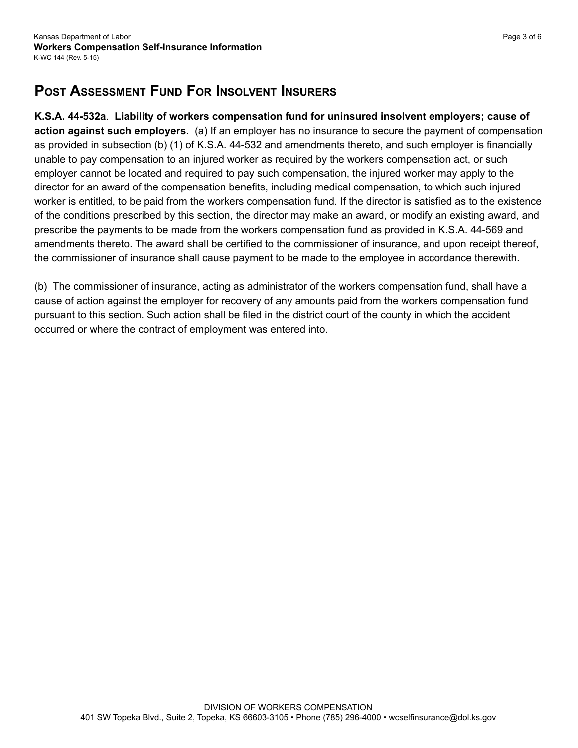## **Post Assessment Fund For Insolvent Insurers**

**K.S.A. 44-532a**. **Liability of workers compensation fund for uninsured insolvent employers; cause of action against such employers.** (a) If an employer has no insurance to secure the payment of compensation as provided in subsection (b) (1) of K.S.A. 44-532 and amendments thereto, and such employer is financially unable to pay compensation to an injured worker as required by the workers compensation act, or such employer cannot be located and required to pay such compensation, the injured worker may apply to the director for an award of the compensation benefits, including medical compensation, to which such injured worker is entitled, to be paid from the workers compensation fund. If the director is satisfied as to the existence of the conditions prescribed by this section, the director may make an award, or modify an existing award, and prescribe the payments to be made from the workers compensation fund as provided in K.S.A. 44-569 and amendments thereto. The award shall be certified to the commissioner of insurance, and upon receipt thereof, the commissioner of insurance shall cause payment to be made to the employee in accordance therewith.

(b) The commissioner of insurance, acting as administrator of the workers compensation fund, shall have a cause of action against the employer for recovery of any amounts paid from the workers compensation fund pursuant to this section. Such action shall be filed in the district court of the county in which the accident occurred or where the contract of employment was entered into.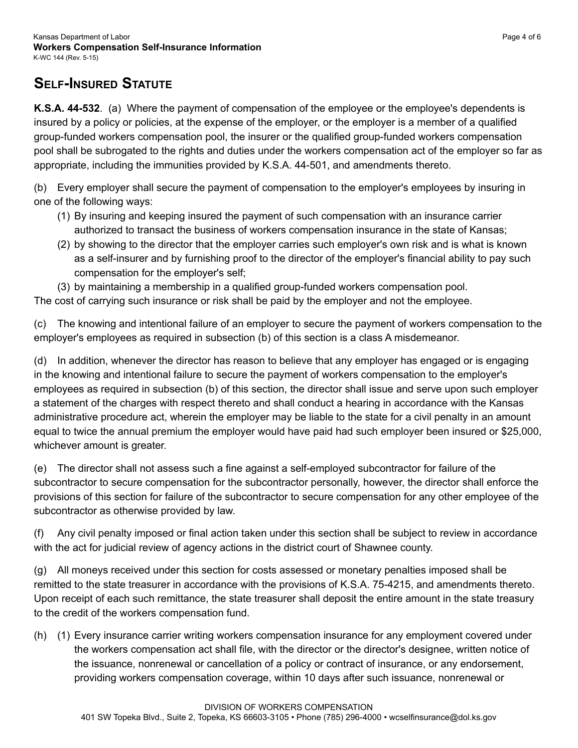### **Self-Insured Statute**

**K.S.A. 44-532**. (a) Where the payment of compensation of the employee or the employee's dependents is insured by a policy or policies, at the expense of the employer, or the employer is a member of a qualified group-funded workers compensation pool, the insurer or the qualified group-funded workers compensation pool shall be subrogated to the rights and duties under the workers compensation act of the employer so far as appropriate, including the immunities provided by K.S.A. 44-501, and amendments thereto.

(b) Every employer shall secure the payment of compensation to the employer's employees by insuring in one of the following ways:

- (1) By insuring and keeping insured the payment of such compensation with an insurance carrier authorized to transact the business of workers compensation insurance in the state of Kansas;
- (2) by showing to the director that the employer carries such employer's own risk and is what is known as a self-insurer and by furnishing proof to the director of the employer's financial ability to pay such compensation for the employer's self;
- (3) by maintaining a membership in a qualified group-funded workers compensation pool.

The cost of carrying such insurance or risk shall be paid by the employer and not the employee.

(c) The knowing and intentional failure of an employer to secure the payment of workers compensation to the employer's employees as required in subsection (b) of this section is a class A misdemeanor.

(d) In addition, whenever the director has reason to believe that any employer has engaged or is engaging in the knowing and intentional failure to secure the payment of workers compensation to the employer's employees as required in subsection (b) of this section, the director shall issue and serve upon such employer a statement of the charges with respect thereto and shall conduct a hearing in accordance with the Kansas administrative procedure act, wherein the employer may be liable to the state for a civil penalty in an amount equal to twice the annual premium the employer would have paid had such employer been insured or \$25,000, whichever amount is greater.

(e) The director shall not assess such a fine against a self-employed subcontractor for failure of the subcontractor to secure compensation for the subcontractor personally, however, the director shall enforce the provisions of this section for failure of the subcontractor to secure compensation for any other employee of the subcontractor as otherwise provided by law.

(f) Any civil penalty imposed or final action taken under this section shall be subject to review in accordance with the act for judicial review of agency actions in the district court of Shawnee county.

(g) All moneys received under this section for costs assessed or monetary penalties imposed shall be remitted to the state treasurer in accordance with the provisions of K.S.A. 75-4215, and amendments thereto. Upon receipt of each such remittance, the state treasurer shall deposit the entire amount in the state treasury to the credit of the workers compensation fund.

(h) (1) Every insurance carrier writing workers compensation insurance for any employment covered under the workers compensation act shall file, with the director or the director's designee, written notice of the issuance, nonrenewal or cancellation of a policy or contract of insurance, or any endorsement, providing workers compensation coverage, within 10 days after such issuance, nonrenewal or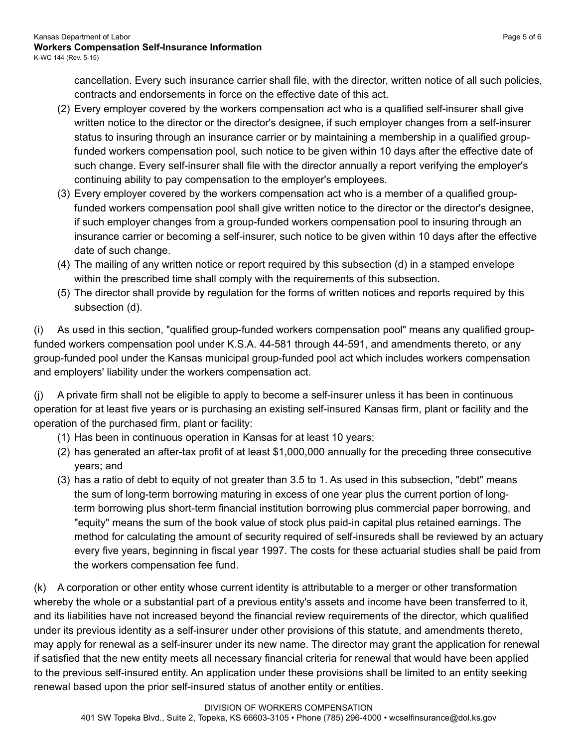cancellation. Every such insurance carrier shall file, with the director, written notice of all such policies, contracts and endorsements in force on the effective date of this act.

- (2) Every employer covered by the workers compensation act who is a qualified self-insurer shall give written notice to the director or the director's designee, if such employer changes from a self-insurer status to insuring through an insurance carrier or by maintaining a membership in a qualified groupfunded workers compensation pool, such notice to be given within 10 days after the effective date of such change. Every self-insurer shall file with the director annually a report verifying the employer's continuing ability to pay compensation to the employer's employees.
- (3) Every employer covered by the workers compensation act who is a member of a qualified groupfunded workers compensation pool shall give written notice to the director or the director's designee, if such employer changes from a group-funded workers compensation pool to insuring through an insurance carrier or becoming a self-insurer, such notice to be given within 10 days after the effective date of such change.
- (4) The mailing of any written notice or report required by this subsection (d) in a stamped envelope within the prescribed time shall comply with the requirements of this subsection.
- (5) The director shall provide by regulation for the forms of written notices and reports required by this subsection (d).

(i) As used in this section, "qualified group-funded workers compensation pool" means any qualified groupfunded workers compensation pool under K.S.A. 44-581 through 44-591, and amendments thereto, or any group-funded pool under the Kansas municipal group-funded pool act which includes workers compensation and employers' liability under the workers compensation act.

(j) A private firm shall not be eligible to apply to become a self-insurer unless it has been in continuous operation for at least five years or is purchasing an existing self-insured Kansas firm, plant or facility and the operation of the purchased firm, plant or facility:

- (1) Has been in continuous operation in Kansas for at least 10 years;
- (2) has generated an after-tax profit of at least \$1,000,000 annually for the preceding three consecutive years; and
- (3) has a ratio of debt to equity of not greater than 3.5 to 1. As used in this subsection, "debt" means the sum of long-term borrowing maturing in excess of one year plus the current portion of longterm borrowing plus short-term financial institution borrowing plus commercial paper borrowing, and "equity" means the sum of the book value of stock plus paid-in capital plus retained earnings. The method for calculating the amount of security required of self-insureds shall be reviewed by an actuary every five years, beginning in fiscal year 1997. The costs for these actuarial studies shall be paid from the workers compensation fee fund.

(k) A corporation or other entity whose current identity is attributable to a merger or other transformation whereby the whole or a substantial part of a previous entity's assets and income have been transferred to it, and its liabilities have not increased beyond the financial review requirements of the director, which qualified under its previous identity as a self-insurer under other provisions of this statute, and amendments thereto, may apply for renewal as a self-insurer under its new name. The director may grant the application for renewal if satisfied that the new entity meets all necessary financial criteria for renewal that would have been applied to the previous self-insured entity. An application under these provisions shall be limited to an entity seeking renewal based upon the prior self-insured status of another entity or entities.